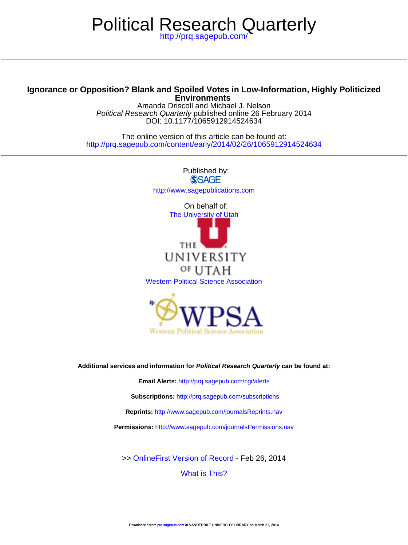# Politic[al Research Qu](http://wpsa.research.pdx.edu/)arterly

<http://prq.sagepub.com/>

# **Environments Ignorance or Opposition? Blank and Spoiled Votes in Low-Information, Highly Politicized**

DOI: 10.1177/1065912914524634 Political Research Quarterly published online 26 February 2014 Amanda Driscoll and Michael J. Nelson

<http://prq.sagepub.com/content/early/2014/02/26/1065912914524634> The online version of this article can be found at:





**Additional service[s and information for](http://prq.sagepub.com/content/early/2014/02/26/1065912914524634.full.pdf) Political Research Quarterly can be found at:**

**Email Alerts:** <http://prq.sagepub.com/cgi/alerts>

**Subscriptions:** <http://prq.sagepub.com/subscriptions>

**Reprints:** <http://www.sagepub.com/journalsReprints.nav>

**Permissions:** <http://www.sagepub.com/journalsPermissions.nav>

[What is This?](http://online.sagepub.com/site/sphelp/vorhelp.xhtml) >> [OnlineFirst Version of Record -](http://prq.sagepub.com/content/early/2014/02/26/1065912914524634.full.pdf) Feb 26, 2014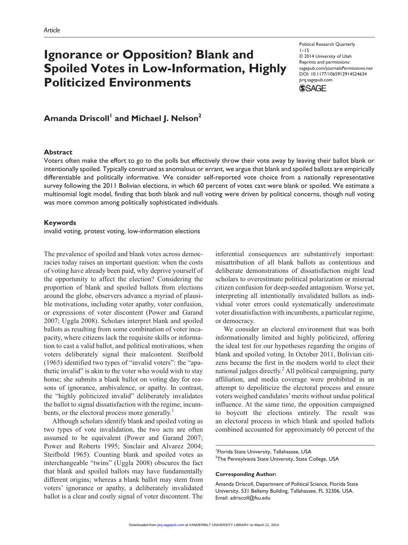# **Ignorance or Opposition? Blank and Spoiled Votes in Low-Information, Highly Politicized Environments**

Political Research Quarterly 1–15 © 2014 University of Utah Reprints and permissions: sagepub.com/journalsPermissions.nav DOI: 10.1177/1065912914524634 prq.sagepub.com



# Amanda Driscoll<sup>I</sup> and Michael J. Nelson<sup>2</sup>

# **Abstract**

Voters often make the effort to go to the polls but effectively throw their vote away by leaving their ballot blank or intentionally spoiled. Typically construed as anomalous or errant, we argue that blank and spoiled ballots are empirically differentiable and politically informative. We consider self-reported vote choice from a nationally representative survey following the 2011 Bolivian elections, in which 60 percent of votes cast were blank or spoiled. We estimate a multinomial logit model, finding that both blank and null voting were driven by political concerns, though null voting was more common among politically sophisticated individuals.

#### **Keywords**

invalid voting, protest voting, low-information elections

The prevalence of spoiled and blank votes across democracies today raises an important question: when the costs of voting have already been paid, why deprive yourself of the opportunity to affect the election? Considering the proportion of blank and spoiled ballots from elections around the globe, observers advance a myriad of plausible motivations, including voter apathy, voter confusion, or expressions of voter discontent (Power and Garand 2007; Uggla 2008). Scholars interpret blank and spoiled ballots as resulting from some combination of voter incapacity, where citizens lack the requisite skills or information to cast a valid ballot, and political motivations, when voters deliberately signal their malcontent. Steifbold (1965) identified two types of "invalid voters": the "apathetic invalid" is akin to the voter who would wish to stay home; she submits a blank ballot on voting day for reasons of ignorance, ambivalence, or apathy. In contrast, the "highly politicized invalid" deliberately invalidates the ballot to signal dissatisfaction with the regime, incumbents, or the electoral process more generally.<sup>1</sup>

Although scholars identify blank and spoiled voting as two types of vote invalidation, the two acts are often assumed to be equivalent (Power and Garand 2007; Power and Roberts 1995; Sinclair and Alvarez 2004; Steifbold 1965). Counting blank and spoiled votes as interchangeable "twins" (Uggla 2008) obscures the fact that blank and spoiled ballots may have fundamentally different origins; whereas a blank ballot may stem from voters' ignorance or apathy, a deliberately invalidated ballot is a clear and costly signal of voter discontent. The

inferential consequences are substantively important: misattribution of all blank ballots as contentious and deliberate demonstrations of dissatisfaction might lead scholars to overestimate political polarization or misread citizen confusion for deep-seeded antagonism. Worse yet, interpreting all intentionally invalidated ballots as individual voter errors could systematically underestimate voter dissatisfaction with incumbents, a particular regime, or democracy.

We consider an electoral environment that was both informationally limited and highly politicized, offering the ideal test for our hypotheses regarding the origins of blank and spoiled voting. In October 2011, Bolivian citizens became the first in the modern world to elect their national judges directly.<sup>2</sup> All political campaigning, party affiliation, and media coverage were prohibited in an attempt to depoliticize the electoral process and ensure voters weighed candidates' merits without undue political influence. At the same time, the opposition campaigned to boycott the elections entirely. The result was an electoral process in which blank and spoiled ballots combined accounted for approximately 60 percent of the

#### **Corresponding Author:**

<sup>1</sup> Florida State University, Tallahassee, USA  $^{2}$ The Pennsylvania State University, State College, USA

Amanda Driscoll, Department of Political Science, Florida State University, 531 Bellamy Building, Tallahassee, FL 32306, USA. [Email:](http://prq.sagepub.com/) [adriscoll@fsu.edu](mailto:adriscoll@fsu.edu)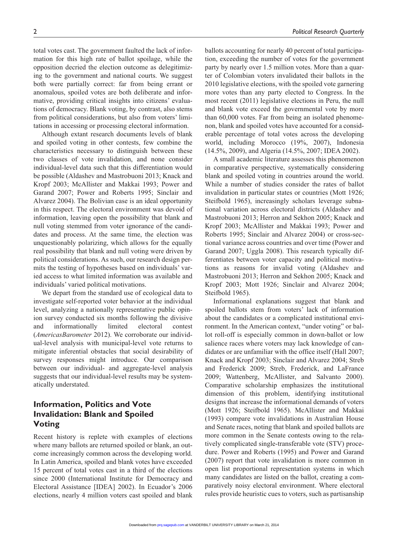total votes cast. The government faulted the lack of information for this high rate of ballot spoilage, while the opposition decried the election outcome as delegitimizing to the government and national courts. We suggest both were partially correct: far from being errant or anomalous, spoiled votes are both deliberate and informative, providing critical insights into citizens' evaluations of democracy. Blank voting, by contrast, also stems from political considerations, but also from voters' limi-

tations in accessing or processing electoral information. Although extant research documents levels of blank and spoiled voting in other contests, few combine the characteristics necessary to distinguish between these two classes of vote invalidation, and none consider individual-level data such that this differentiation would be possible (Aldashev and Mastrobuoni 2013; Knack and Kropf 2003; McAllister and Makkai 1993; Power and Garand 2007; Power and Roberts 1995; Sinclair and Alvarez 2004). The Bolivian case is an ideal opportunity in this respect. The electoral environment was devoid of information, leaving open the possibility that blank and null voting stemmed from voter ignorance of the candidates and process. At the same time, the election was unquestionably polarizing, which allows for the equally real possibility that blank and null voting were driven by political considerations. As such, our research design permits the testing of hypotheses based on individuals' varied access to what limited information was available and individuals' varied political motivations.

We depart from the standard use of ecological data to investigate self-reported voter behavior at the individual level, analyzing a nationally representative public opinion survey conducted six months following the divisive and informationally limited electoral contest (*AmericasBarometer* 2012). We corroborate our individual-level analysis with municipal-level vote returns to mitigate inferential obstacles that social desirability of survey responses might introduce. Our comparison between our individual- and aggregate-level analysis suggests that our individual-level results may be systematically understated.

# **Information, Politics and Vote Invalidation: Blank and Spoiled Voting**

Recent history is replete with examples of elections where many ballots are returned spoiled or blank, an outcome increasingly common across the developing world. In Latin America, spoiled and blank votes have exceeded 15 percent of total votes cast in a third of the elections since 2000 (International Institute for Democracy and Electoral Assistance [IDEA] 2002). In Ecuador's 2006 elections, nearly 4 million voters cast spoiled and blank

ballots accounting for nearly 40 percent of total participation, exceeding the number of votes for the government party by nearly over 1.5 million votes. More than a quarter of Colombian voters invalidated their ballots in the 2010 legislative elections, with the spoiled vote garnering more votes than any party elected to Congress. In the most recent (2011) legislative elections in Peru, the null and blank vote exceed the governmental vote by more than 60,000 votes. Far from being an isolated phenomenon, blank and spoiled votes have accounted for a considerable percentage of total votes across the developing world, including Morocco (19%, 2007), Indonesia (14.5%, 2009), and Algeria (14.5%, 2007; IDEA 2002).

A small academic literature assesses this phenomenon in comparative perspective, systematically considering blank and spoiled voting in countries around the world. While a number of studies consider the rates of ballot invalidation in particular states or countries (Mott 1926; Steifbold 1965), increasingly scholars leverage subnational variation across electoral districts (Aldashev and Mastrobuoni 2013; Herron and Sekhon 2005; Knack and Kropf 2003; McAllister and Makkai 1993; Power and Roberts 1995; Sinclair and Alvarez 2004) or cross-sectional variance across countries and over time (Power and Garand 2007; Uggla 2008). This research typically differentiates between voter capacity and political motivations as reasons for invalid voting (Aldashev and Mastrobuoni 2013; Herron and Sekhon 2005; Knack and Kropf 2003; Mott 1926; Sinclair and Alvarez 2004; Steifbold 1965).

Informational explanations suggest that blank and spoiled ballots stem from voters' lack of information about the candidates or a complicated institutional environment. In the American context, "under voting" or ballot roll-off is especially common in down-ballot or low salience races where voters may lack knowledge of candidates or are unfamiliar with the office itself (Hall 2007; Knack and Kropf 2003; Sinclair and Alvarez 2004; Streb and Frederick 2009; Streb, Frederick, and LaFrance 2009; Wattenberg, McAllister, and Salvanto 2000). Comparative scholarship emphasizes the institutional dimension of this problem, identifying institutional designs that increase the informational demands of voters (Mott 1926; Steifbold 1965). McAllister and Makkai (1993) compare vote invalidations in Australian House and Senate races, noting that blank and spoiled ballots are more common in the Senate contests owing to the relatively complicated single-transferable vote (STV) procedure. Power and Roberts (1995) and Power and Garand (2007) report that vote invalidation is more common in open list proportional representation systems in which many candidates are listed on the ballot, creating a comparatively noisy electoral environment. Where electoral rules provide heuristic cues to voters, such as partisanship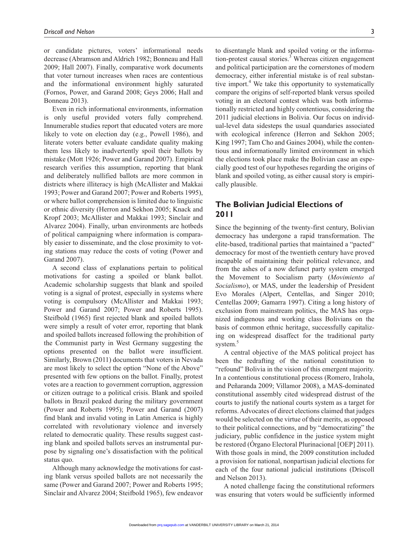or candidate pictures, voters' informational needs decrease (Abramson and Aldrich 1982; Bonneau and Hall 2009; Hall 2007). Finally, comparative work documents that voter turnout increases when races are contentious and the informational environment highly saturated (Fornos, Power, and Garand 2008; Geys 2006; Hall and Bonneau 2013).

Even in rich informational environments, information is only useful provided voters fully comprehend. Innumerable studies report that educated voters are more likely to vote on election day (e.g., Powell 1986), and literate voters better evaluate candidate quality making them less likely to inadvertently spoil their ballots by mistake (Mott 1926; Power and Garand 2007). Empirical research verifies this assumption, reporting that blank and deliberately nullified ballots are more common in districts where illiteracy is high (McAllister and Makkai 1993; Power and Garand 2007; Power and Roberts 1995), or where ballot comprehension is limited due to linguistic or ethnic diversity (Herron and Sekhon 2005; Knack and Kropf 2003; McAllister and Makkai 1993; Sinclair and Alvarez 2004). Finally, urban environments are hotbeds of political campaigning where information is comparably easier to disseminate, and the close proximity to voting stations may reduce the costs of voting (Power and Garand 2007).

A second class of explanations pertain to political motivations for casting a spoiled or blank ballot. Academic scholarship suggests that blank and spoiled voting is a signal of protest, especially in systems where voting is compulsory (McAllister and Makkai 1993; Power and Garand 2007; Power and Roberts 1995). Steifbold (1965) first rejected blank and spoiled ballots were simply a result of voter error, reporting that blank and spoiled ballots increased following the prohibition of the Communist party in West Germany suggesting the options presented on the ballot were insufficient. Similarly, Brown (2011) documents that voters in Nevada are most likely to select the option "None of the Above" presented with few options on the ballot. Finally, protest votes are a reaction to government corruption, aggression or citizen outrage to a political crisis. Blank and spoiled ballots in Brazil peaked during the military government (Power and Roberts 1995); Power and Garand (2007) find blank and invalid voting in Latin America is highly correlated with revolutionary violence and inversely related to democratic quality. These results suggest casting blank and spoiled ballots serves an instrumental purpose by signaling one's dissatisfaction with the political status quo.

Although many acknowledge the motivations for casting blank versus spoiled ballots are not necessarily the same (Power and Garand 2007; Power and Roberts 1995; Sinclair and Alvarez 2004; Steifbold 1965), few endeavor to disentangle blank and spoiled voting or the information-protest causal stories.<sup>3</sup> Whereas citizen engagement and political participation are the cornerstones of modern democracy, either inferential mistake is of real substantive import.<sup>4</sup> We take this opportunity to systematically compare the origins of self-reported blank versus spoiled voting in an electoral contest which was both informationally restricted and highly contentious, considering the 2011 judicial elections in Bolivia. Our focus on individual-level data sidesteps the usual quandaries associated with ecological inference (Herron and Sekhon 2005; King 1997; Tam Cho and Gaines 2004), while the contentious and informationally limited environment in which the elections took place make the Bolivian case an especially good test of our hypotheses regarding the origins of blank and spoiled voting, as either causal story is empirically plausible.

# **The Bolivian Judicial Elections of 2011**

Since the beginning of the twenty-first century, Bolivian democracy has undergone a rapid transformation. The elite-based, traditional parties that maintained a "pacted" democracy for most of the twentieth century have proved incapable of maintaining their political relevance, and from the ashes of a now defunct party system emerged the Movement to Socialism party (*Movimiento al Socialismo*), or MAS, under the leadership of President Evo Morales (Alpert, Centellas, and Singer 2010; Centellas 2009; Gamarra 1997). Citing a long history of exclusion from mainstream politics, the MAS has organized indigenous and working class Bolivians on the basis of common ethnic heritage, successfully capitalizing on widespread disaffect for the traditional party system.<sup>5</sup>

A central objective of the MAS political project has been the redrafting of the national constitution to "refound" Bolivia in the vision of this emergent majority. In a contentious constitutional process (Romero, Irahola, and Peñaranda 2009; Villamor 2008), a MAS-dominated constitutional assembly cited widespread distrust of the courts to justify the national courts system as a target for reforms. Advocates of direct elections claimed that judges would be selected on the virtue of their merits, as opposed to their political connections, and by "democratizing" the judiciary, public confidence in the justice system might be restored (Órgano Electoral Plurinacional [OEP] 2011). With those goals in mind, the 2009 constitution included a provision for national, nonpartisan judicial elections for each of the four national judicial institutions (Driscoll and Nelson 2013).

A noted challenge facing the constitutional reformers was ensuring that voters would be sufficiently informed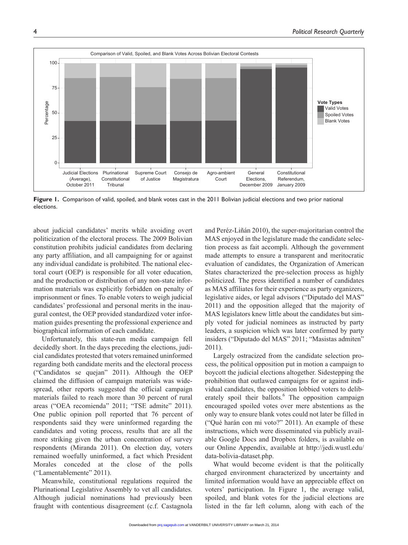

**Figure 1.** Comparison of valid, spoiled, and blank votes cast in the 2011 Bolivian judicial elections and two prior national elections.

about judicial candidates' merits while avoiding overt politicization of the electoral process. The 2009 Bolivian constitution prohibits judicial candidates from declaring any party affiliation, and all campaigning for or against any individual candidate is prohibited. The national electoral court (OEP) is responsible for all voter education, and the production or distribution of any non-state information materials was explicitly forbidden on penalty of imprisonment or fines. To enable voters to weigh judicial candidates' professional and personal merits in the inaugural contest, the OEP provided standardized voter information guides presenting the professional experience and biographical information of each candidate.

Unfortunately, this state-run media campaign fell decidedly short. In the days preceding the elections, judicial candidates protested that voters remained uninformed regarding both candidate merits and the electoral process ("Candidatos se quejan" 2011). Although the OEP claimed the diffusion of campaign materials was widespread, other reports suggested the official campaign materials failed to reach more than 30 percent of rural areas ("OEA recomienda" 2011; "TSE admite" 2011). One public opinion poll reported that 76 percent of respondents said they were uninformed regarding the candidates and voting process, results that are all the more striking given the urban concentration of survey respondents (Miranda 2011). On election day, voters remained woefully uninformed, a fact which President Morales conceded at the close of the polls ("Lamentablemente" 2011).

Meanwhile, constitutional regulations required the Plurinational Legislative Assembly to vet all candidates. Although judicial nominations had previously been fraught with contentious disagreement (c.f. Castagnola

and Peréz-Liñán 2010), the super-majoritarian control the MAS enjoyed in the legislature made the candidate selection process as fait accompli. Although the government made attempts to ensure a transparent and meritocratic evaluation of candidates, the Organization of American States characterized the pre-selection process as highly politicized. The press identified a number of candidates as MAS affiliates for their experience as party organizers, legislative aides, or legal advisors ("Diputado del MAS" 2011) and the opposition alleged that the majority of MAS legislators knew little about the candidates but simply voted for judicial nominees as instructed by party leaders, a suspicion which was later confirmed by party insiders ("Diputado del MAS" 2011; "Masistas admiten" 2011).

Largely ostracized from the candidate selection process, the political opposition put in motion a campaign to boycott the judicial elections altogether. Sidestepping the prohibition that outlawed campaigns for or against individual candidates, the opposition lobbied voters to deliberately spoil their ballots.<sup>6</sup> The opposition campaign encouraged spoiled votes over mere abstentions as the only way to ensure blank votes could not later be filled in ("Qué harán con mi voto?" 2011). An example of these instructions, which were disseminated via publicly available Google Docs and Dropbox folders, is available on our Online Appendix, available at [http://jedi.wustl.edu/](http://jedi.wustl.edu/data-bolivia-dataset.php) [data-bolivia-dataset.php](http://jedi.wustl.edu/data-bolivia-dataset.php).

What would become evident is that the politically charged environment characterized by uncertainty and limited information would have an appreciable effect on voters' participation. In Figure 1, the average valid, spoiled, and blank votes for the judicial elections are [listed in th](http://prq.sagepub.com/)e far left column, along with each of the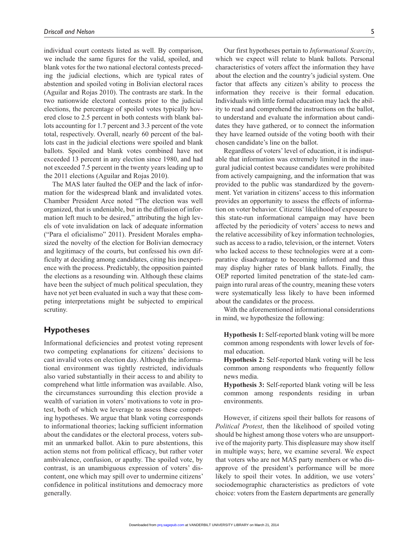individual court contests listed as well. By comparison, we include the same figures for the valid, spoiled, and blank votes for the two national electoral contests preceding the judicial elections, which are typical rates of abstention and spoiled voting in Bolivian electoral races (Aguilar and Rojas 2010). The contrasts are stark. In the two nationwide electoral contests prior to the judicial elections, the percentage of spoiled votes typically hovered close to 2.5 percent in both contests with blank ballots accounting for 1.7 percent and 3.3 percent of the vote total, respectively. Overall, nearly 60 percent of the ballots cast in the judicial elections were spoiled and blank ballots. Spoiled and blank votes combined have not exceeded 13 percent in any election since 1980, and had not exceeded 7.5 percent in the twenty years leading up to the 2011 elections (Aguilar and Rojas 2010).

The MAS later faulted the OEP and the lack of information for the widespread blank and invalidated votes. Chamber President Arce noted "The election was well organized, that is undeniable, but in the diffusion of information left much to be desired," attributing the high levels of vote invalidation on lack of adequate information ("Para el oficialismo" 2011). President Morales emphasized the novelty of the election for Bolivian democracy and legitimacy of the courts, but confessed his own difficulty at deciding among candidates, citing his inexperience with the process. Predictably, the opposition painted the elections as a resounding win. Although these claims have been the subject of much political speculation, they have not yet been evaluated in such a way that these competing interpretations might be subjected to empirical scrutiny.

# **Hypotheses**

Informational deficiencies and protest voting represent two competing explanations for citizens' decisions to cast invalid votes on election day. Although the informational environment was tightly restricted, individuals also varied substantially in their access to and ability to comprehend what little information was available. Also, the circumstances surrounding this election provide a wealth of variation in voters' motivations to vote in protest, both of which we leverage to assess these competing hypotheses. We argue that blank voting corresponds to informational theories; lacking sufficient information about the candidates or the electoral process, voters submit an unmarked ballot. Akin to pure abstentions, this action stems not from political efficacy, but rather voter ambivalence, confusion, or apathy. The spoiled vote, by contrast, is an unambiguous expression of voters' discontent, one which may spill over to undermine citizens' confidence in political institutions and democracy more generally.

Our first hypotheses pertain to *Informational Scarcity*, which we expect will relate to blank ballots. Personal characteristics of voters affect the information they have about the election and the country's judicial system. One factor that affects any citizen's ability to process the information they receive is their formal education. Individuals with little formal education may lack the ability to read and comprehend the instructions on the ballot, to understand and evaluate the information about candidates they have gathered, or to connect the information they have learned outside of the voting booth with their chosen candidate's line on the ballot.

Regardless of voters' level of education, it is indisputable that information was extremely limited in the inaugural judicial contest because candidates were prohibited from actively campaigning, and the information that was provided to the public was standardized by the government. Yet variation in citizens' access to this information provides an opportunity to assess the effects of information on voter behavior. Citizens' likelihood of exposure to this state-run informational campaign may have been affected by the periodicity of voters' access to news and the relative accessibility of key information technologies, such as access to a radio, television, or the internet. Voters who lacked access to these technologies were at a comparative disadvantage to becoming informed and thus may display higher rates of blank ballots. Finally, the OEP reported limited penetration of the state-led campaign into rural areas of the country, meaning these voters were systematically less likely to have been informed about the candidates or the process.

With the aforementioned informational considerations in mind, we hypothesize the following:

**Hypothesis 1:** Self-reported blank voting will be more common among respondents with lower levels of formal education.

**Hypothesis 2:** Self-reported blank voting will be less common among respondents who frequently follow news media.

**Hypothesis 3:** Self-reported blank voting will be less common among respondents residing in urban environments.

However, if citizens spoil their ballots for reasons of *Political Protest*, then the likelihood of spoiled voting should be highest among those voters who are unsupportive of the majority party. This displeasure may show itself in multiple ways; here, we examine several. We expect that voters who are not MAS party members or who disapprove of the president's performance will be more likely to spoil their votes. In addition, we use voters' sociodemographic characteristics as predictors of vote choice: voters from the Eastern departments are generally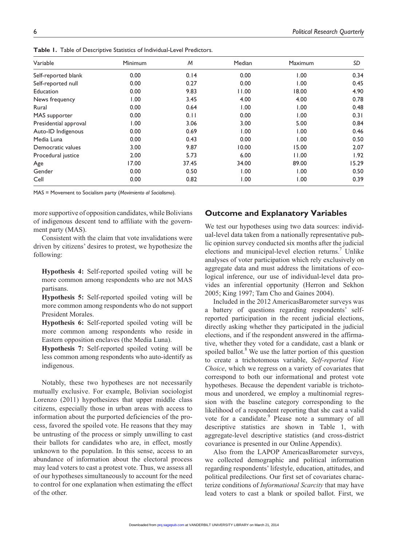| Variable              | <b>Minimum</b> | M     | Median | Maximum | SD    |
|-----------------------|----------------|-------|--------|---------|-------|
| Self-reported blank   | 0.00           | 0.14  | 0.00   | 1.00    | 0.34  |
| Self-reported null    | 0.00           | 0.27  | 0.00   | 1.00    | 0.45  |
| Education             | 0.00           | 9.83  | 11.00  | 18.00   | 4.90  |
| News frequency        | 1.00           | 3.45  | 4.00   | 4.00    | 0.78  |
| Rural                 | 0.00           | 0.64  | 1.00   | 1.00    | 0.48  |
| MAS supporter         | 0.00           | 0.11  | 0.00   | 1.00    | 0.31  |
| Presidential approval | 1.00           | 3.06  | 3.00   | 5.00    | 0.84  |
| Auto-ID Indigenous    | 0.00           | 0.69  | 1.00   | 1.00    | 0.46  |
| Media Luna            | 0.00           | 0.43  | 0.00   | 1.00    | 0.50  |
| Democratic values     | 3.00           | 9.87  | 10.00  | 15.00   | 2.07  |
| Procedural justice    | 2.00           | 5.73  | 6.00   | 11.00   | 1.92  |
| Age                   | 17.00          | 37.45 | 34.00  | 89.00   | 15.29 |
| Gender                | 0.00           | 0.50  | 1.00   | 1.00    | 0.50  |
| Cell                  | 0.00           | 0.82  | 1.00   | 1.00    | 0.39  |

**Table 1.** Table of Descriptive Statistics of Individual-Level Predictors.

MAS = Movement to Socialism party (*Movimiento al Socialismo*).

more supportive of opposition candidates, while Bolivians of indigenous descent tend to affiliate with the government party (MAS).

Consistent with the claim that vote invalidations were driven by citizens' desires to protest, we hypothesize the following:

**Hypothesis 4:** Self-reported spoiled voting will be more common among respondents who are not MAS partisans.

**Hypothesis 5:** Self-reported spoiled voting will be more common among respondents who do not support President Morales.

**Hypothesis 6:** Self-reported spoiled voting will be more common among respondents who reside in Eastern opposition enclaves (the Media Luna).

**Hypothesis 7:** Self-reported spoiled voting will be less common among respondents who auto-identify as indigenous.

Notably, these two hypotheses are not necessarily mutually exclusive. For example, Bolivian sociologist Lorenzo (2011) hypothesizes that upper middle class citizens, especially those in urban areas with access to information about the purported deficiencies of the process, favored the spoiled vote. He reasons that they may be untrusting of the process or simply unwilling to cast their ballots for candidates who are, in effect, mostly unknown to the population. In this sense, access to an abundance of information about the electoral process may lead voters to cast a protest vote. Thus, we assess all of our hypotheses simultaneously to account for the need to control for one explanation when estimating the effect of the other.

# **Outcome and Explanatory Variables**

We test our hypotheses using two data sources: individual-level data taken from a nationally representative public opinion survey conducted six months after the judicial elections and municipal-level election returns.<sup>7</sup> Unlike analyses of voter participation which rely exclusively on aggregate data and must address the limitations of ecological inference, our use of individual-level data provides an inferential opportunity (Herron and Sekhon 2005; King 1997; Tam Cho and Gaines 2004).

Included in the 2012 AmericasBarometer surveys was a battery of questions regarding respondents' selfreported participation in the recent judicial elections, directly asking whether they participated in the judicial elections, and if the respondent answered in the affirmative, whether they voted for a candidate, cast a blank or spoiled ballot.<sup>8</sup> We use the latter portion of this question to create a trichotomous variable, *Self-reported Vote Choice*, which we regress on a variety of covariates that correspond to both our informational and protest vote hypotheses. Because the dependent variable is trichotomous and unordered, we employ a multinomial regression with the baseline category corresponding to the likelihood of a respondent reporting that she cast a valid vote for a candidate.<sup>9</sup> Please note a summary of all descriptive statistics are shown in Table 1, with aggregate-level descriptive statistics (and cross-district covariance is presented in our Online Appendix).

Also from the LAPOP AmericasBarometer surveys, we collected demographic and political information regarding respondents' lifestyle, education, attitudes, and political predilections. Our first set of covariates characterize conditions of *Informational Scarcity* that may have lead voters to cast a blank or spoiled ballot. First, we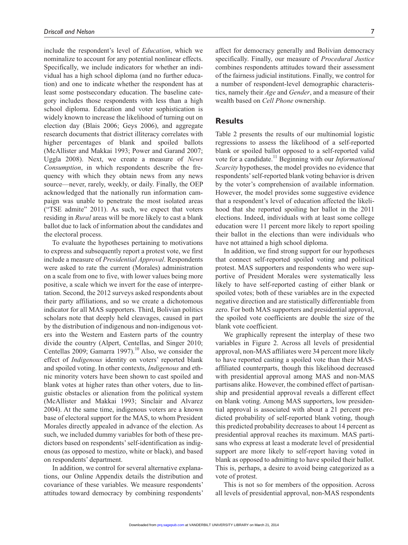include the respondent's level of *Education*, which we nominalize to account for any potential nonlinear effects. Specifically, we include indicators for whether an individual has a high school diploma (and no further education) and one to indicate whether the respondent has at least some postsecondary education. The baseline category includes those respondents with less than a high school diploma. Education and voter sophistication is widely known to increase the likelihood of turning out on election day (Blais 2006; Geys 2006), and aggregate research documents that district illiteracy correlates with higher percentages of blank and spoiled ballots (McAllister and Makkai 1993; Power and Garand 2007; Uggla 2008). Next, we create a measure of *News Consumption*, in which respondents describe the frequency with which they obtain news from any news source—never, rarely, weekly, or daily. Finally, the OEP acknowledged that the nationally run information campaign was unable to penetrate the most isolated areas ("TSE admite" 2011). As such, we expect that voters residing in *Rural* areas will be more likely to cast a blank ballot due to lack of information about the candidates and the electoral process.

To evaluate the hypotheses pertaining to motivations to express and subsequently report a protest vote, we first include a measure of *Presidential Approval*. Respondents were asked to rate the current (Morales) administration on a scale from one to five, with lower values being more positive, a scale which we invert for the ease of interpretation. Second, the 2012 surveys asked respondents about their party affiliations, and so we create a dichotomous indicator for all MAS supporters. Third, Bolivian politics scholars note that deeply held cleavages, caused in part by the distribution of indigenous and non-indigenous voters into the Western and Eastern parts of the country divide the country (Alpert, Centellas, and Singer 2010; Centellas 2009; Gamarra 1997).<sup>10</sup> Also, we consider the effect of *Indigenous* identity on voters' reported blank and spoiled voting. In other contexts, *Indigenous* and ethnic minority voters have been shown to cast spoiled and blank votes at higher rates than other voters, due to linguistic obstacles or alienation from the political system (McAllister and Makkai 1993; Sinclair and Alvarez 2004). At the same time, indigenous voters are a known base of electoral support for the MAS, to whom President Morales directly appealed in advance of the election. As such, we included dummy variables for both of these predictors based on respondents' self-identification as indigenous (as opposed to mestizo, white or black), and based on respondents' department.

In addition, we control for several alternative explanations, our Online Appendix details the distribution and covariance of these variables. We measure respondents' attitudes toward democracy by combining respondents' affect for democracy generally and Bolivian democracy specifically. Finally, our measure of *Procedural Justice* combines respondents attitudes toward their assessment of the fairness judicial institutions. Finally, we control for a number of respondent-level demographic characteristics, namely their *Age* and *Gender*, and a measure of their wealth based on *Cell Phone* ownership.

#### **Results**

Table 2 presents the results of our multinomial logistic regressions to assess the likelihood of a self-reported blank or spoiled ballot opposed to a self-reported valid vote for a candidate.11 Beginning with our *Informational Scarcity* hypotheses, the model provides no evidence that respondents' self-reported blank voting behavior is driven by the voter's comprehension of available information. However, the model provides some suggestive evidence that a respondent's level of education affected the likelihood that she reported spoiling her ballot in the 2011 elections. Indeed, individuals with at least some college education were 11 percent more likely to report spoiling their ballot in the elections than were individuals who have not attained a high school diploma.

In addition, we find strong support for our hypotheses that connect self-reported spoiled voting and political protest. MAS supporters and respondents who were supportive of President Morales were systematically less likely to have self-reported casting of either blank or spoiled votes; both of these variables are in the expected negative direction and are statistically differentiable from zero. For both MAS supporters and presidential approval, the spoiled vote coefficients are double the size of the blank vote coefficient.

We graphically represent the interplay of these two variables in Figure 2. Across all levels of presidential approval, non-MAS affiliates were 34 percent more likely to have reported casting a spoiled vote than their MASaffiliated counterparts, though this likelihood decreased with presidential approval among MAS and non-MAS partisans alike. However, the combined effect of partisanship and presidential approval reveals a different effect on blank voting. Among MAS supporters, low presidential approval is associated with about a 21 percent predicted probability of self-reported blank voting, though this predicted probability decreases to about 14 percent as presidential approval reaches its maximum. MAS partisans who express at least a moderate level of presidential support are more likely to self-report having voted in blank as opposed to admitting to have spoiled their ballot. This is, perhaps, a desire to avoid being categorized as a vote of protest.

This is not so for members of the opposition. Across all levels of presidential approval, non-MAS respondents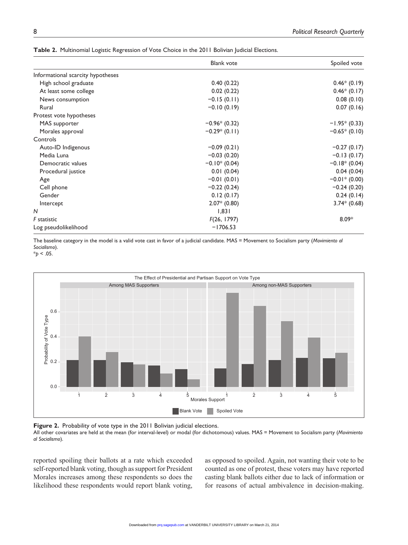|                                   | <b>Blank vote</b> | Spoiled vote    |
|-----------------------------------|-------------------|-----------------|
|                                   |                   |                 |
| Informational scarcity hypotheses |                   |                 |
| High school graduate              | 0.40(0.22)        | $0.46*(0.19)$   |
| At least some college             | 0.02(0.22)        | $0.46*(0.17)$   |
| News consumption                  | $-0.15(0.11)$     | 0.08(0.10)      |
| Rural                             | $-0.10(0.19)$     | 0.07(0.16)      |
| Protest vote hypotheses           |                   |                 |
| MAS supporter                     | $-0.96*(0.32)$    | $-1.95*(0.33)$  |
| Morales approval                  | $-0.29*(0.11)$    | $-0.65*(0.10)$  |
| Controls                          |                   |                 |
| Auto-ID Indigenous                | $-0.09(0.21)$     | $-0.27(0.17)$   |
| Media Luna                        | $-0.03(0.20)$     | $-0.13(0.17)$   |
| Democratic values                 | $-0.10*(0.04)$    | $-0.18*(0.04)$  |
| Procedural justice                | 0.01(0.04)        | 0.04(0.04)      |
| Age                               | $-0.01(0.01)$     | $-0.01*$ (0.00) |
| Cell phone                        | $-0.22(0.24)$     | $-0.24(0.20)$   |
| Gender                            | 0.12(0.17)        | 0.24(0.14)      |
| Intercept                         | $2.07*$ (0.80)    | $3.74*(0.68)$   |
| N                                 | 1,831             |                 |
| F statistic                       | F(26, 1797)       | $8.09*$         |
| Log pseudolikelihood              | $-1706.53$        |                 |

**Table 2.** Multinomial Logistic Regression of Vote Choice in the 2011 Bolivian Judicial Elections.

The baseline category in the model is a valid vote cast in favor of a judicial candidate. MAS = Movement to Socialism party (*Movimiento al Socialismo*).

 $*_{p}$  < .05.



**Figure 2.** Probability of vote type in the 2011 Bolivian judicial elections.

All other covariates are held at the mean (for interval-level) or modal (for dichotomous) values. MAS = Movement to Socialism party (*Movimiento al Socialismo*).

reported spoiling their ballots at a rate which exceeded self-reported blank voting, though as support for President Morales increases among these respondents so does the likelihood these respondents would report blank voting, as opposed to spoiled. Again, not wanting their vote to be counted as one of protest, these voters may have reported casting blank ballots either due to lack of information or for reasons of actual ambivalence in decision-making.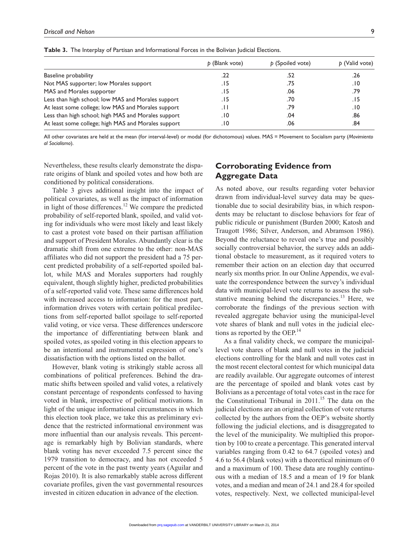|                                                     | b (Blank vote) | <b>b</b> (Spoiled vote) | $p$ (Valid vote) |
|-----------------------------------------------------|----------------|-------------------------|------------------|
| Baseline probability                                | .22            | .52                     | .26              |
| Not MAS supporter; low Morales support              | . 15           | .75                     | .10              |
| <b>MAS and Morales supporter</b>                    | . 15           | .06                     | .79              |
| Less than high school; low MAS and Morales support  | . I 5          | .70                     | . I 5            |
| At least some college; low MAS and Morales support  | ا ا.           | .79                     | .10              |
| Less than high school; high MAS and Morales support | .10            | .04                     | .86              |
| At least some college; high MAS and Morales support | ١٥.            | .06                     | .84              |

**Table 3.** The Interplay of Partisan and Informational Forces in the Bolivian Judicial Elections.

All other covariates are held at the mean (for interval-level) or modal (for dichotomous) values. MAS = Movement to Socialism party (*Movimiento al Socialismo*).

Nevertheless, these results clearly demonstrate the disparate origins of blank and spoiled votes and how both are conditioned by political considerations.

Table 3 gives additional insight into the impact of political covariates, as well as the impact of information in light of those differences.<sup>12</sup> We compare the predicted probability of self-reported blank, spoiled, and valid voting for individuals who were most likely and least likely to cast a protest vote based on their partisan affiliation and support of President Morales. Abundantly clear is the dramatic shift from one extreme to the other: non-MAS affiliates who did not support the president had a 75 percent predicted probability of a self-reported spoiled ballot, while MAS and Morales supporters had roughly equivalent, though slightly higher, predicted probabilities of a self-reported valid vote. These same differences hold with increased access to information: for the most part, information drives voters with certain political predilections from self-reported ballot spoilage to self-reported valid voting, or vice versa. These differences underscore the importance of differentiating between blank and spoiled votes, as spoiled voting in this election appears to be an intentional and instrumental expression of one's dissatisfaction with the options listed on the ballot.

However, blank voting is strikingly stable across all combinations of political preferences. Behind the dramatic shifts between spoiled and valid votes, a relatively constant percentage of respondents confessed to having voted in blank, irrespective of political motivations. In light of the unique informational circumstances in which this election took place, we take this as preliminary evidence that the restricted informational environment was more influential than our analysis reveals. This percentage is remarkably high by Bolivian standards, where blank voting has never exceeded 7.5 percent since the 1979 transition to democracy, and has not exceeded 5 percent of the vote in the past twenty years (Aguilar and Rojas 2010). It is also remarkably stable across different covariate profiles, given the vast governmental resources invested in citizen education in advance of the election.

# **Corroborating Evidence from Aggregate Data**

As noted above, our results regarding voter behavior drawn from individual-level survey data may be questionable due to social desirability bias, in which respondents may be reluctant to disclose behaviors for fear of public ridicule or punishment (Burden 2000; Katosh and Traugott 1986; Silver, Anderson, and Abramson 1986). Beyond the reluctance to reveal one's true and possibly socially controversial behavior, the survey adds an additional obstacle to measurement, as it required voters to remember their action on an election day that occurred nearly six months prior. In our Online Appendix, we evaluate the correspondence between the survey's individual data with municipal-level vote returns to assess the substantive meaning behind the discrepancies. $13$  Here, we corroborate the findings of the previous section with revealed aggregate behavior using the municipal-level vote shares of blank and null votes in the judicial elections as reported by the OEP.<sup>14</sup>

As a final validity check, we compare the municipallevel vote shares of blank and null votes in the judicial elections controlling for the blank and null votes cast in the most recent electoral contest for which municipal data are readily available. Our aggregate outcomes of interest are the percentage of spoiled and blank votes cast by Bolivians as a percentage of total votes cast in the race for the Constitutional Tribunal in  $2011$ <sup>15</sup>. The data on the judicial elections are an original collection of vote returns collected by the authors from the OEP's website shortly following the judicial elections, and is disaggregated to the level of the municipality. We multiplied this proportion by 100 to create a percentage. This generated interval variables ranging from 0.42 to 64.7 (spoiled votes) and 4.6 to 56.4 (blank votes) with a theoretical minimum of 0 and a maximum of 100. These data are roughly continuous with a median of 18.5 and a mean of 19 for blank votes, and a median and mean of 24.1 and 28.4 for spoiled votes, respectively. Next, we collected municipal-level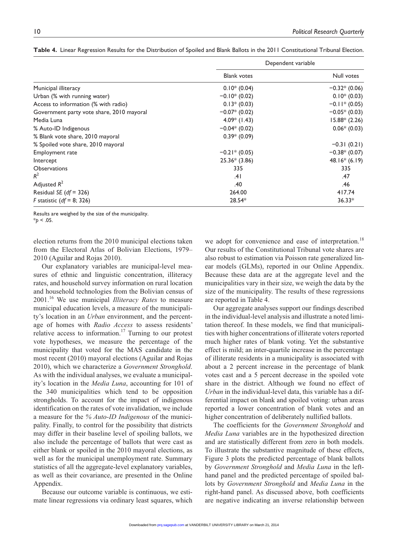|                                           | Dependent variable |                 |  |
|-------------------------------------------|--------------------|-----------------|--|
|                                           | <b>Blank votes</b> | Null votes      |  |
| Municipal illiteracy                      | $0.10*(0.04)$      | $-0.32*(0.06)$  |  |
| Urban (% with running water)              | $-0.10*(0.02)$     | $0.10*(0.03)$   |  |
| Access to information (% with radio)      | $0.13*(0.03)$      | $-0.11*$ (0.05) |  |
| Government party vote share, 2010 mayoral | $-0.07*$ (0.02)    | $-0.05*$ (0.03) |  |
| Media Luna                                | $4.09*$ (1.43)     | $15.88*(2.26)$  |  |
| % Auto-ID Indigenous                      | $-0.04*$ (0.02)    | $0.06*$ (0.03)  |  |
| % Blank vote share, 2010 mayoral          | $0.39* (0.09)$     |                 |  |
| % Spoiled vote share, 2010 mayoral        |                    | $-0.31(0.21)$   |  |
| Employment rate                           | $-0.21*(0.05)$     | $-0.38*(0.07)$  |  |
| Intercept                                 | $25.36*(3.86)$     | $48.16*(6.19)$  |  |
| Observations                              | 335                | 335             |  |
| $R^2$                                     | .41                | .47             |  |
| Adjusted $R^2$                            | .40                | .46             |  |
| Residual SE $(df = 326)$                  | 264.00             | 417.74          |  |
| <i>F</i> statistic ( $df = 8$ ; 326)      | 28.54*             | $36.33*$        |  |

**Table 4.** Linear Regression Results for the Distribution of Spoiled and Blank Ballots in the 2011 Constitutional Tribunal Election.

Results are weighed by the size of the municipality. \**p* < .05.

election returns from the 2010 municipal elections taken from the Electoral Atlas of Bolivian Elections, 1979– 2010 (Aguilar and Rojas 2010).

Our explanatory variables are municipal-level measures of ethnic and linguistic concentration, illiteracy rates, and household survey information on rural location and household technologies from the Bolivian census of 2001.16 We use municipal *Illiteracy Rates* to measure municipal education levels, a measure of the municipality's location in an *Urban* environment, and the percentage of homes with *Radio Access* to assess residents' relative access to information.<sup>17</sup> Turning to our protest vote hypotheses, we measure the percentage of the municipality that voted for the MAS candidate in the most recent (2010) mayoral elections (Aguilar and Rojas 2010), which we characterize a *Government Stronghold*. As with the individual analyses, we evaluate a municipality's location in the *Media Luna*, accounting for 101 of the 340 municipalities which tend to be opposition strongholds. To account for the impact of indigenous identification on the rates of vote invalidation, we include a measure for the *% Auto-ID Indigenous* of the municipality. Finally, to control for the possibility that districts may differ in their baseline level of spoiling ballots, we also include the percentage of ballots that were cast as either blank or spoiled in the 2010 mayoral elections, as well as for the municipal unemployment rate. Summary statistics of all the aggregate-level explanatory variables, as well as their covariance, are presented in the Online Appendix.

Because our outcome variable is continuous, we estimate linear regressions via ordinary least squares, which we adopt for convenience and ease of interpretation.<sup>18</sup> Our results of the Constitutional Tribunal vote shares are also robust to estimation via Poisson rate generalized linear models (GLMs), reported in our Online Appendix. Because these data are at the aggregate level and the municipalities vary in their size, we weigh the data by the size of the municipality. The results of these regressions are reported in Table 4.

Our aggregate analyses support our findings described in the individual-level analysis and illustrate a noted limitation thereof. In these models, we find that municipalities with higher concentrations of illiterate voters reported much higher rates of blank voting. Yet the substantive effect is mild; an inter-quartile increase in the percentage of illiterate residents in a municipality is associated with about a 2 percent increase in the percentage of blank votes cast and a 5 percent decrease in the spoiled vote share in the district. Although we found no effect of *Urban* in the individual-level data, this variable has a differential impact on blank and spoiled voting: urban areas reported a lower concentration of blank votes and an higher concentration of deliberately nullified ballots.

The coefficients for the *Government Stronghold* and *Media Luna* variables are in the hypothesized direction and are statistically different from zero in both models. To illustrate the substantive magnitude of these effects, Figure 3 plots the predicted percentage of blank ballots by *Government Stronghold* and *Media Luna* in the lefthand panel and the predicted percentage of spoiled ballots by *Government Stronghold* and *Media Luna* in the right-hand panel. As discussed above, both coefficients [are negativ](http://prq.sagepub.com/)e indicating an inverse relationship between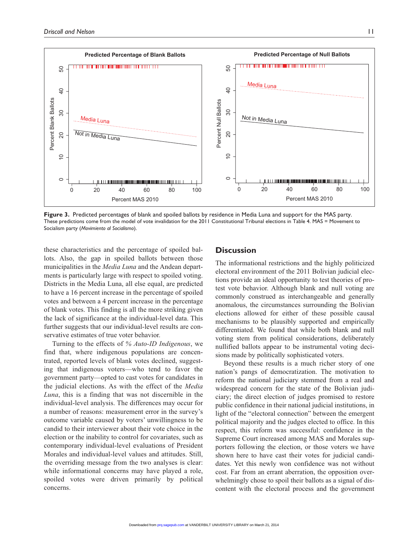

**Figure 3.** Predicted percentages of blank and spoiled ballots by residence in Media Luna and support for the MAS party. These predictions come from the model of vote invalidation for the 2011 Constitutional Tribunal elections in Table 4. MAS = Movement to Socialism party (*Movimiento al Socialismo*).

these characteristics and the percentage of spoiled ballots. Also, the gap in spoiled ballots between those municipalities in the *Media Luna* and the Andean departments is particularly large with respect to spoiled voting. Districts in the Media Luna, all else equal, are predicted to have a 16 percent increase in the percentage of spoiled votes and between a 4 percent increase in the percentage of blank votes. This finding is all the more striking given the lack of significance at the individual-level data. This further suggests that our individual-level results are conservative estimates of true voter behavior.

Turning to the effects of *% Auto-ID Indigenous*, we find that, where indigenous populations are concentrated, reported levels of blank votes declined, suggesting that indigenous voters—who tend to favor the government party—opted to cast votes for candidates in the judicial elections. As with the effect of the *Media Luna*, this is a finding that was not discernible in the individual-level analysis. The differences may occur for a number of reasons: measurement error in the survey's outcome variable caused by voters' unwillingness to be candid to their interviewer about their vote choice in the election or the inability to control for covariates, such as contemporary individual-level evaluations of President Morales and individual-level values and attitudes. Still, the overriding message from the two analyses is clear: while informational concerns may have played a role, spoiled votes were driven primarily by political concerns.

# **Discussion**

The informational restrictions and the highly politicized electoral environment of the 2011 Bolivian judicial elections provide an ideal opportunity to test theories of protest vote behavior. Although blank and null voting are commonly construed as interchangeable and generally anomalous, the circumstances surrounding the Bolivian elections allowed for either of these possible causal mechanisms to be plausibly supported and empirically differentiated. We found that while both blank and null voting stem from political considerations, deliberately nullified ballots appear to be instrumental voting decisions made by politically sophisticated voters.

Beyond these results is a much richer story of one nation's pangs of democratization. The motivation to reform the national judiciary stemmed from a real and widespread concern for the state of the Bolivian judiciary; the direct election of judges promised to restore public confidence in their national judicial institutions, in light of the "electoral connection" between the emergent political majority and the judges elected to office. In this respect, this reform was successful: confidence in the Supreme Court increased among MAS and Morales supporters following the election, or those voters we have shown here to have cast their votes for judicial candidates. Yet this newly won confidence was not without cost. Far from an errant aberration, the opposition overwhelmingly chose to spoil their ballots as a signal of discontent with the electoral process and the government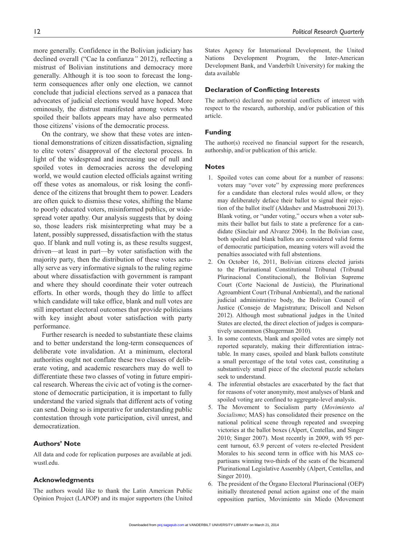more generally. Confidence in the Bolivian judiciary has declined overall ("Cae la confianza*"* 2012), reflecting a mistrust of Bolivian institutions and democracy more generally. Although it is too soon to forecast the longterm consequences after only one election, we cannot conclude that judicial elections served as a panacea that advocates of judicial elections would have hoped. More ominously, the distrust manifested among voters who spoiled their ballots appears may have also permeated those citizens' visions of the democratic process.

On the contrary, we show that these votes are intentional demonstrations of citizen dissatisfaction, signaling to elite voters' disapproval of the electoral process. In light of the widespread and increasing use of null and spoiled votes in democracies across the developing world, we would caution elected officials against writing off these votes as anomalous, or risk losing the confidence of the citizens that brought them to power. Leaders are often quick to dismiss these votes, shifting the blame to poorly educated voters, misinformed publics, or widespread voter apathy. Our analysis suggests that by doing so, those leaders risk misinterpreting what may be a latent, possibly suppressed, dissatisfaction with the status quo. If blank and null voting is, as these results suggest, driven—at least in part—by voter satisfaction with the majority party, then the distribution of these votes actually serve as very informative signals to the ruling regime about where dissatisfaction with government is rampant and where they should coordinate their voter outreach efforts. In other words, though they do little to affect which candidate will take office, blank and null votes are still important electoral outcomes that provide politicians with key insight about voter satisfaction with party performance.

Further research is needed to substantiate these claims and to better understand the long-term consequences of deliberate vote invalidation. At a minimum, electoral authorities ought not conflate these two classes of deliberate voting, and academic researchers may do well to differentiate these two classes of voting in future empirical research. Whereas the civic act of voting is the cornerstone of democratic participation, it is important to fully understand the varied signals that different acts of voting can send. Doing so is imperative for understanding public contestation through vote participation, civil unrest, and democratization.

# **Authors' Note**

All data and code for replication purposes are available at jedi. wustl.edu.

#### **Acknowledgments**

The authors would like to thank the Latin American Public Opinion Project (LAPOP) and its major supporters (the United

States Agency for International Development, the United Nations Development Program, the Inter-American Development Bank, and Vanderbilt University) for making the data available

#### **Declaration of Conflicting Interests**

The author(s) declared no potential conflicts of interest with respect to the research, authorship, and/or publication of this article.

#### **Funding**

The author(s) received no financial support for the research, authorship, and/or publication of this article.

#### **Notes**

- 1. Spoiled votes can come about for a number of reasons: voters may "over vote" by expressing more preferences for a candidate than electoral rules would allow, or they may deliberately deface their ballot to signal their rejection of the ballot itself (Aldashev and Mastrobuoni 2013). Blank voting, or "under voting," occurs when a voter submits their ballot but fails to state a preference for a candidate (Sinclair and Alvarez 2004). In the Bolivian case, both spoiled and blank ballots are considered valid forms of democratic participation, meaning voters will avoid the penalties associated with full abstentions.
- 2. On October 16, 2011, Bolivian citizens elected jurists to the Plurinational Constitutional Tribunal (Tribunal Plurinacional Constitucional), the Bolivian Supreme Court (Corte Nacional de Justicia), the Plurinational Agroambient Court (Tribunal Ambiental), and the national judicial administrative body, the Bolivian Council of Justice (Consejo de Magistratura; Driscoll and Nelson 2012). Although most subnational judges in the United States are elected, the direct election of judges is comparatively uncommon (Shugerman 2010).
- 3. In some contexts, blank and spoiled votes are simply not reported separately, making their differentiation intractable. In many cases, spoiled and blank ballots constitute a small percentage of the total votes cast, constituting a substantively small piece of the electoral puzzle scholars seek to understand.
- 4. The inferential obstacles are exacerbated by the fact that for reasons of voter anonymity, most analyses of blank and spoiled voting are confined to aggregate-level analysis.
- 5. The Movement to Socialism party (*Movimiento al Socialismo*; MAS) has consolidated their presence on the national political scene through repeated and sweeping victories at the ballot boxes (Alpert, Centellas, and Singer 2010; Singer 2007). Most recently in 2009, with 95 percent turnout, 63.9 percent of voters re-elected President Morales to his second term in office with his MAS copartisans winning two-thirds of the seats of the bicameral Plurinational Legislative Assembly (Alpert, Centellas, and Singer 2010).
- 6. The president of the Órgano Electoral Plurinacional (OEP) initially threatened penal action against one of the main [opposit](http://prq.sagepub.com/)ion parties, Movimiento sin Miedo (Movement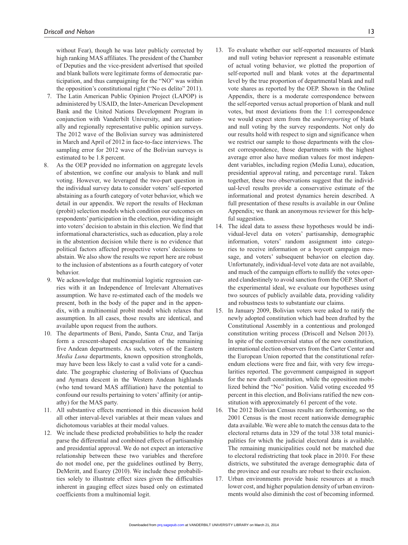without Fear), though he was later publicly corrected by high ranking MAS affiliates. The president of the Chamber of Deputies and the vice-president advertised that spoiled and blank ballots were legitimate forms of democratic participation, and thus campaigning for the "NO" was within the opposition's constitutional right ("No es delito" 2011).

- 7. The Latin American Public Opinion Project (LAPOP) is administered by USAID, the Inter-American Development Bank and the United Nations Development Program in conjunction with Vanderbilt University, and are nationally and regionally representative public opinion surveys. The 2012 wave of the Bolivian survey was administered in March and April of 2012 in face-to-face interviews. The sampling error for 2012 wave of the Bolivian surveys is estimated to be 1.8 percent.
- As the OEP provided no information on aggregate levels of abstention, we confine our analysis to blank and null voting. However, we leveraged the two-part question in the individual survey data to consider voters' self-reported abstaining as a fourth category of voter behavior, which we detail in our appendix. We report the results of Heckman (probit) selection models which condition our outcomes on respondents' participation in the election, providing insight into voters' decision to abstain in this election. We find that informational characteristics, such as education, play a role in the abstention decision while there is no evidence that political factors affected prospective voters' decisions to abstain. We also show the results we report here are robust to the inclusion of abstentions as a fourth category of voter behavior.
- 9. We acknowledge that multinomial logistic regression carries with it an Independence of Irrelevant Alternatives assumption. We have re-estimated each of the models we present, both in the body of the paper and in the appendix, with a multinomial probit model which relaxes that assumption. In all cases, those results are identical, and available upon request from the authors.
- 10. The departments of Beni, Pando, Santa Cruz, and Tarija form a crescent-shaped encapsulation of the remaining five Andean departments. As such, voters of the Eastern *Media Luna* departments, known opposition strongholds, may have been less likely to cast a valid vote for a candidate. The geographic clustering of Bolivians of Quechua and Aymara descent in the Western Andean highlands (who tend toward MAS affiliation) have the potential to confound our results pertaining to voters' affinity (or antipathy) for the MAS party.
- 11. All substantive effects mentioned in this discussion hold all other interval-level variables at their mean values and dichotomous variables at their modal values.
- 12. We include these predicted probabilities to help the reader parse the differential and combined effects of partisanship and presidential approval. We do not expect an interactive relationship between these two variables and therefore do not model one, per the guidelines outlined by Berry, DeMeritt, and Esarey (2010). We include these probabilities solely to illustrate effect sizes given the difficulties inherent in gauging effect sizes based only on estimated coefficients from a multinomial logit.
- 13. To evaluate whether our self-reported measures of blank and null voting behavior represent a reasonable estimate of actual voting behavior, we plotted the proportion of self-reported null and blank votes at the departmental level by the true proportion of departmental blank and null vote shares as reported by the OEP. Shown in the Online Appendix, there is a moderate correspondence between the self-reported versus actual proportion of blank and null votes, but most deviations from the 1:1 correspondence we would expect stem from the *underreporting* of blank and null voting by the survey respondents. Not only do our results hold with respect to sign and significance when we restrict our sample to those departments with the closest correspondence, those departments with the highest average error also have median values for most independent variables, including region (Media Luna), education, presidential approval rating, and percentage rural. Taken together, these two observations suggest that the individual-level results provide a conservative estimate of the informational and protest dynamics herein described. A full presentation of these results is available in our Online Appendix; we thank an anonymous reviewer for this helpful suggestion.
- 14. The ideal data to assess these hypotheses would be individual-level data on voters' partisanship, demographic information, voters' random assignment into categories to receive information or a boycott campaign message, and voters' subsequent behavior on election day. Unfortunately, individual-level vote data are not available, and much of the campaign efforts to nullify the votes operated clandestinely to avoid sanction from the OEP. Short of the experimental ideal, we evaluate our hypotheses using two sources of publicly available data, providing validity and robustness tests to substantiate our claims.
- 15. In January 2009, Bolivian voters were asked to ratify the newly adopted constitution which had been drafted by the Constitutional Assembly in a contentious and prolonged constitution writing process (Driscoll and Nelson 2013). In spite of the controversial status of the new constitution, international election observers from the Carter Center and the European Union reported that the constitutional referendum elections were free and fair, with very few irregularities reported. The government campaigned in support for the new draft constitution, while the opposition mobilized behind the "No" position. Valid voting exceeded 95 percent in this election, and Bolivians ratified the new constitution with approximately 61 percent of the vote.
- 16. The 2012 Bolivian Census results are forthcoming, so the 2001 Census is the most recent nationwide demographic data available. We were able to match the census data to the electoral returns data in 329 of the total 338 total municipalities for which the judicial electoral data is available. The remaining municipalities could not be matched due to electoral redistricting that took place in 2010. For these districts, we substituted the average demographic data of the province and our results are robust to their exclusion.
- 17. Urban environments provide basic resources at a much lower cost, and higher population density of urban environments would also diminish the cost of becoming informed.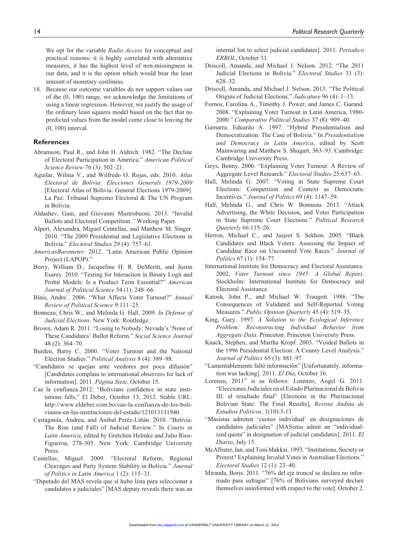We opt for the variable *Radio Access* for conceptual and practical reasons: it is highly correlated with alternative measures, it has the highest level of non-missingness in our data, and it is the option which would bear the least amount of monetary costliness.

18. Because our outcome variables do not support values out of the (0, 100) range, we acknowledge the limitations of using a linear regression. However, we justify the usage of the ordinary least squares model based on the fact that no predicted values from the model come close to leaving the (0, 100) interval.

### **References**

- Abramson, Paul R., and John H. Aldrich. 1982. "The Decline of Electoral Participation in America." *American Political Science Review* 76 (3): 502–21.
- Aguilar, Wilma V., and Wilfredo O. Rojas, eds. 2010. *Atlas Electoral de Bolivia: Elecciones Generals 1979-2009* [Electoral Atlas of Bolivia: General Elections 1979-2009]. La Paz: Tribunal Supremo Electoral & The UN Program in Bolivia.
- Aldashev, Gani, and Giovanni Mastrobuoni. 2013. "Invalid Ballots and Electoral Competition.*"* Working Paper.
- Alpert, Alexandra, Miguel Centellas, and Matthew M. Singer. 2010. "The 2009 Presidential and Legislative Elections in Bolivia." *Electoral Studies* 29 (4): 757–61.
- *AmericasBarometer*. 2012. "Latin American Public Opinion Project (LAPOP)."
- Berry, William D., Jacqueline H. R. DeMeritt, and Justin Esarey. 2010. "Testing for Interaction in Binary Logit and Probit Models: Is a Product Term Essential?" *American Journal of Political Science* 54 (1): 248–66.
- Blais, Andre´. 2006. "What Affects Voter Turnout?" *Annual Review of Political Science* 9:111–25.
- Bonneau, Chris W., and Melinda G. Hall. 2009. *In Defense of Judicial Elections*. New York: Routledge..
- Brown, Adam R. 2011. "Losing to Nobody: Nevada's 'None of These Candidates' Ballot Reform." *Social Science Journal* 48 (2): 364–70.
- Burden, Barry C. 2000. "Voter Turnout and the National Election Studies." *Political Analysis* 8 (4): 389–98.
- "Candidatos se quejan ante veedores por poca difusión" [Candidates complain to international observers for lack of information]. 2011. *Página Siete*, October 15.
- Cae la confianza.2012: "Bolivians confidence in state institutions falls," El Deber, October 13, 2012. Stable URL: [http://www.eldeber.com.bo/cae-la-confianza-de-los-boli](http://www.eldeber.com.bo/cae-la-confianza-de-los-bolivianos-en-las-instituciones-del-estado/121013131940)[vianos-en-las-instituciones-del-estado/121013131940.](http://www.eldeber.com.bo/cae-la-confianza-de-los-bolivianos-en-las-instituciones-del-estado/121013131940)
- Castagnola, Andrea, and Anibal Peréz-Liñán. 2010. "Bolivia: The Rise (and Fall) of Judicial Review." In *Courts in Latin America*, edited by Gretchen Helmke and Julio Rios-Figueroa, 278-305. New York: Cambridge University Press.
- Centellas, Miguel. 2009. "Electoral Reform, Regional Cleavages and Party System Stability in Bolivia." *Journal of Politics in Latin America* 1 (2): 115–31.
- "Diputado del MAS revela que sí hubo lista para seleccionar a candidatos a judiciales" [MAS deputy reveals there was an

internal list to select judicial candidates]. 2011. *Periodico ERBOL*, October 31.

- Driscoll, Amanda, and Michael J. Nelson. 2012. "The 2011 Judicial Elections in Bolivia." *Electoral Studies* 31 (3): 628–32.
- Driscoll, Amanda, and Michael J. Nelson. 2013. "The Political Origins of Judicial Elections." *Judicature* 96 (4): 1–13.
- Fornos, Carolina A., Timothy J. Power, and James C. Garand. 2008. "Explaining Voter Turnout in Latin America, 1980- 2000." *Comparative Political Studies* 37 (8): 909–40.
- Gamarra, Eduardo A. 1997. "Hybrid Presidentialism and Democratization: The Case of Bolivia." In *Presidentialism and Democracy in Latin America*, edited by Scott Mainwaring and Matthew S. Shugart, 363–93. Cambridge: Cambridge University Press.
- Geys, Benny. 2006. "Explaining Voter Turnout: A Review of Aggregate Level Research." *Electoral Studies* 25:637–63.
- Hall, Melinda G. 2007. "Voting in State Supreme Court Elections: Competition and Context as Democratic Incentives." *Journal of Politics* 69 (4): 1147–59.
- Hall, Melinda G., and Chris W. Bonneau. 2013. "Attack Advertising, the White Decision, and Voter Participation in State Supreme Court Elections." *Political Research Quarterly* 66:115–26.
- Herron, Michael C., and Jasjeet S. Sekhon. 2005. "Black Candidates and Black Voters: Assessing the Impact of Candidate Race on Uncounted Vote Races." *Journal of Politics* 67 (1): 154–77.
- International Institute for Democracy and Electoral Assistance. 2002. *Voter Turnout since 1945: A Global Report*. Stockholm: International Institute for Democracy and Electoral Assistance.
- Katosh, John P., and Michael W. Traugott. 1986. "The Consequences of Validated and Self-Reported Voting Measures." *Public Opinion Quarterly* 45 (4): 519–35.
- King, Gary. 1997. *A Solution to the Ecological Inference Problem: Reconstructing Individual Behavior from Aggregate Data*. Princeton: Princeton University Press.
- Knack, Stephen, and Martha Kropf. 2003. "Voided Ballots in the 1996 Presidential Election: A County Level Analysis." *Journal of Politics* 65 (3): 881–97.
- "Lamentablemente faltó información" [Unfortunately, information was lacking]. 2011. *El Día*, October 16.
- Lorenzo, 2011" is as follows: Lorenzo, Angel G. 2011. "Elecciones Judiciales en el Estado Plurinacional de Bolivia III: el resultado final" [Elections in the Plurinacional Bolivian State: The Final Results], *Revista Andina de Estudios Politicos*, 1(10):3-13
- "Masistas admiten 'cuoteo individual' en designaciones de candidatos judiciales" [MASistas admit an "individualized quota" in designation of judicial candidates]. 2011. *El Diario*, July 15.
- McAllister, Ian, and Toni Makkai. 1993. "Institutions, Society or Protest? Explaining Invalid Votes in Australian Elections." *Electoral Studies* 12 (1): 23–40.
- Miranda, Boris. 2011. "76% del eje troncal se declara no informado para sufragar" [76% of Bolivians surveyed declare themselves uninformed with respect to the vote]. October 2.